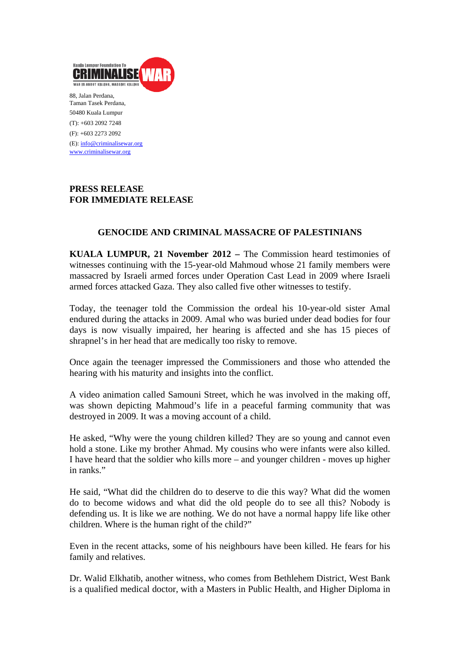

Taman Tasek Perdana, 50480 Kuala Lumpur (T): +603 2092 7248 (F): +603 2273 2092 (E): info@criminalisewar.org www.criminalisewar.org

## **PRESS RELEASE FOR IMMEDIATE RELEASE**

# **GENOCIDE AND CRIMINAL MASSACRE OF PALESTINIANS**

**KUALA LUMPUR, 21 November 2012 –** The Commission heard testimonies of witnesses continuing with the 15-year-old Mahmoud whose 21 family members were massacred by Israeli armed forces under Operation Cast Lead in 2009 where Israeli armed forces attacked Gaza. They also called five other witnesses to testify.

Today, the teenager told the Commission the ordeal his 10-year-old sister Amal endured during the attacks in 2009. Amal who was buried under dead bodies for four days is now visually impaired, her hearing is affected and she has 15 pieces of shrapnel's in her head that are medically too risky to remove.

Once again the teenager impressed the Commissioners and those who attended the hearing with his maturity and insights into the conflict.

A video animation called Samouni Street, which he was involved in the making off, was shown depicting Mahmoud's life in a peaceful farming community that was destroyed in 2009. It was a moving account of a child.

He asked, "Why were the young children killed? They are so young and cannot even hold a stone. Like my brother Ahmad. My cousins who were infants were also killed. I have heard that the soldier who kills more – and younger children - moves up higher in ranks."

He said, "What did the children do to deserve to die this way? What did the women do to become widows and what did the old people do to see all this? Nobody is defending us. It is like we are nothing. We do not have a normal happy life like other children. Where is the human right of the child?"

Even in the recent attacks, some of his neighbours have been killed. He fears for his family and relatives.

Dr. Walid Elkhatib, another witness, who comes from Bethlehem District, West Bank is a qualified medical doctor, with a Masters in Public Health, and Higher Diploma in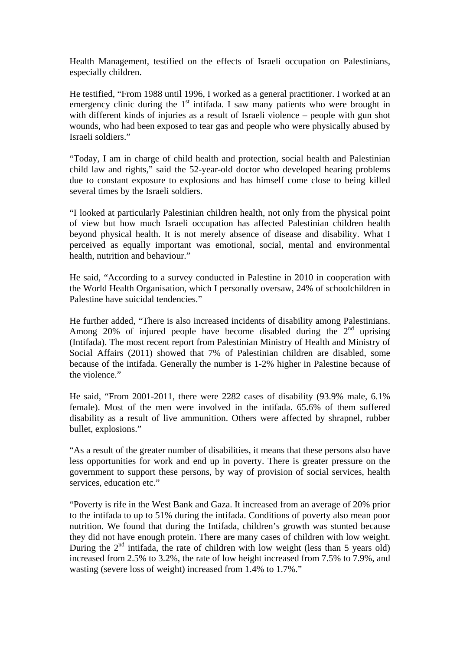Health Management, testified on the effects of Israeli occupation on Palestinians, especially children.

He testified, "From 1988 until 1996, I worked as a general practitioner. I worked at an emergency clinic during the 1<sup>st</sup> intifada. I saw many patients who were brought in with different kinds of injuries as a result of Israeli violence – people with gun shot wounds, who had been exposed to tear gas and people who were physically abused by Israeli soldiers."

"Today, I am in charge of child health and protection, social health and Palestinian child law and rights," said the 52-year-old doctor who developed hearing problems due to constant exposure to explosions and has himself come close to being killed several times by the Israeli soldiers.

"I looked at particularly Palestinian children health, not only from the physical point of view but how much Israeli occupation has affected Palestinian children health beyond physical health. It is not merely absence of disease and disability. What I perceived as equally important was emotional, social, mental and environmental health, nutrition and behaviour."

He said, "According to a survey conducted in Palestine in 2010 in cooperation with the World Health Organisation, which I personally oversaw, 24% of schoolchildren in Palestine have suicidal tendencies."

He further added, "There is also increased incidents of disability among Palestinians. Among 20% of injured people have become disabled during the  $2<sup>nd</sup>$  uprising (Intifada). The most recent report from Palestinian Ministry of Health and Ministry of Social Affairs (2011) showed that 7% of Palestinian children are disabled, some because of the intifada. Generally the number is 1-2% higher in Palestine because of the violence."

He said, "From 2001-2011, there were 2282 cases of disability (93.9% male, 6.1% female). Most of the men were involved in the intifada. 65.6% of them suffered disability as a result of live ammunition. Others were affected by shrapnel, rubber bullet, explosions."

"As a result of the greater number of disabilities, it means that these persons also have less opportunities for work and end up in poverty. There is greater pressure on the government to support these persons, by way of provision of social services, health services, education etc."

"Poverty is rife in the West Bank and Gaza. It increased from an average of 20% prior to the intifada to up to 51% during the intifada. Conditions of poverty also mean poor nutrition. We found that during the Intifada, children's growth was stunted because they did not have enough protein. There are many cases of children with low weight. During the  $2<sup>nd</sup>$  intifada, the rate of children with low weight (less than 5 years old) increased from 2.5% to 3.2%, the rate of low height increased from 7.5% to 7.9%, and wasting (severe loss of weight) increased from 1.4% to 1.7%."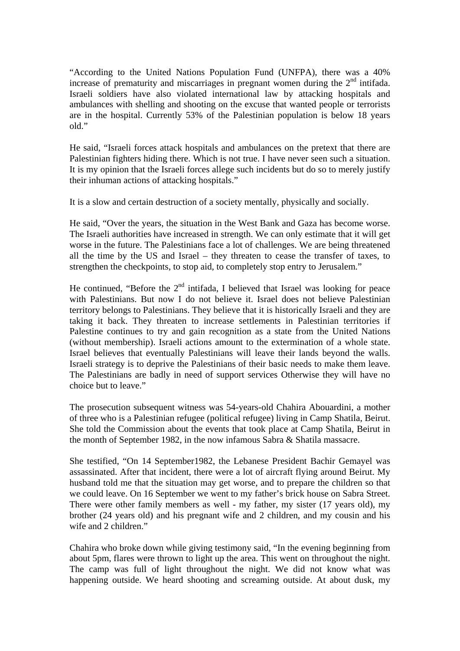"According to the United Nations Population Fund (UNFPA), there was a 40% increase of prematurity and miscarriages in pregnant women during the  $2<sup>nd</sup>$  intifada. Israeli soldiers have also violated international law by attacking hospitals and ambulances with shelling and shooting on the excuse that wanted people or terrorists are in the hospital. Currently 53% of the Palestinian population is below 18 years old."

He said, "Israeli forces attack hospitals and ambulances on the pretext that there are Palestinian fighters hiding there. Which is not true. I have never seen such a situation. It is my opinion that the Israeli forces allege such incidents but do so to merely justify their inhuman actions of attacking hospitals."

It is a slow and certain destruction of a society mentally, physically and socially.

He said, "Over the years, the situation in the West Bank and Gaza has become worse. The Israeli authorities have increased in strength. We can only estimate that it will get worse in the future. The Palestinians face a lot of challenges. We are being threatened all the time by the US and Israel – they threaten to cease the transfer of taxes, to strengthen the checkpoints, to stop aid, to completely stop entry to Jerusalem."

He continued, "Before the  $2<sup>nd</sup>$  intifada, I believed that Israel was looking for peace with Palestinians. But now I do not believe it. Israel does not believe Palestinian territory belongs to Palestinians. They believe that it is historically Israeli and they are taking it back. They threaten to increase settlements in Palestinian territories if Palestine continues to try and gain recognition as a state from the United Nations (without membership). Israeli actions amount to the extermination of a whole state. Israel believes that eventually Palestinians will leave their lands beyond the walls. Israeli strategy is to deprive the Palestinians of their basic needs to make them leave. The Palestinians are badly in need of support services Otherwise they will have no choice but to leave."

The prosecution subsequent witness was 54-years-old Chahira Abouardini, a mother of three who is a Palestinian refugee (political refugee) living in Camp Shatila, Beirut. She told the Commission about the events that took place at Camp Shatila, Beirut in the month of September 1982, in the now infamous Sabra & Shatila massacre.

She testified, "On 14 September1982, the Lebanese President Bachir Gemayel was assassinated. After that incident, there were a lot of aircraft flying around Beirut. My husband told me that the situation may get worse, and to prepare the children so that we could leave. On 16 September we went to my father's brick house on Sabra Street. There were other family members as well - my father, my sister (17 years old), my brother (24 years old) and his pregnant wife and 2 children, and my cousin and his wife and 2 children."

Chahira who broke down while giving testimony said, "In the evening beginning from about 5pm, flares were thrown to light up the area. This went on throughout the night. The camp was full of light throughout the night. We did not know what was happening outside. We heard shooting and screaming outside. At about dusk, my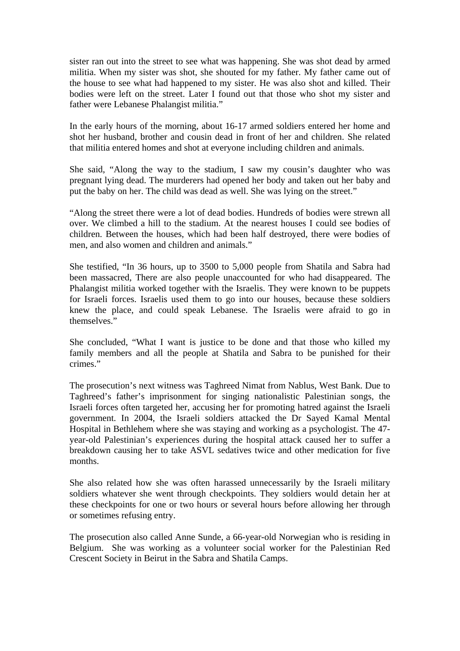sister ran out into the street to see what was happening. She was shot dead by armed militia. When my sister was shot, she shouted for my father. My father came out of the house to see what had happened to my sister. He was also shot and killed. Their bodies were left on the street. Later I found out that those who shot my sister and father were Lebanese Phalangist militia."

In the early hours of the morning, about 16-17 armed soldiers entered her home and shot her husband, brother and cousin dead in front of her and children. She related that militia entered homes and shot at everyone including children and animals.

She said, "Along the way to the stadium, I saw my cousin's daughter who was pregnant lying dead. The murderers had opened her body and taken out her baby and put the baby on her. The child was dead as well. She was lying on the street."

"Along the street there were a lot of dead bodies. Hundreds of bodies were strewn all over. We climbed a hill to the stadium. At the nearest houses I could see bodies of children. Between the houses, which had been half destroyed, there were bodies of men, and also women and children and animals."

She testified, "In 36 hours, up to 3500 to 5,000 people from Shatila and Sabra had been massacred, There are also people unaccounted for who had disappeared. The Phalangist militia worked together with the Israelis. They were known to be puppets for Israeli forces. Israelis used them to go into our houses, because these soldiers knew the place, and could speak Lebanese. The Israelis were afraid to go in themselves."

She concluded, "What I want is justice to be done and that those who killed my family members and all the people at Shatila and Sabra to be punished for their crimes."

The prosecution's next witness was Taghreed Nimat from Nablus, West Bank. Due to Taghreed's father's imprisonment for singing nationalistic Palestinian songs, the Israeli forces often targeted her, accusing her for promoting hatred against the Israeli government. In 2004, the Israeli soldiers attacked the Dr Sayed Kamal Mental Hospital in Bethlehem where she was staying and working as a psychologist. The 47 year-old Palestinian's experiences during the hospital attack caused her to suffer a breakdown causing her to take ASVL sedatives twice and other medication for five months.

She also related how she was often harassed unnecessarily by the Israeli military soldiers whatever she went through checkpoints. They soldiers would detain her at these checkpoints for one or two hours or several hours before allowing her through or sometimes refusing entry.

The prosecution also called Anne Sunde, a 66-year-old Norwegian who is residing in Belgium. She was working as a volunteer social worker for the Palestinian Red Crescent Society in Beirut in the Sabra and Shatila Camps.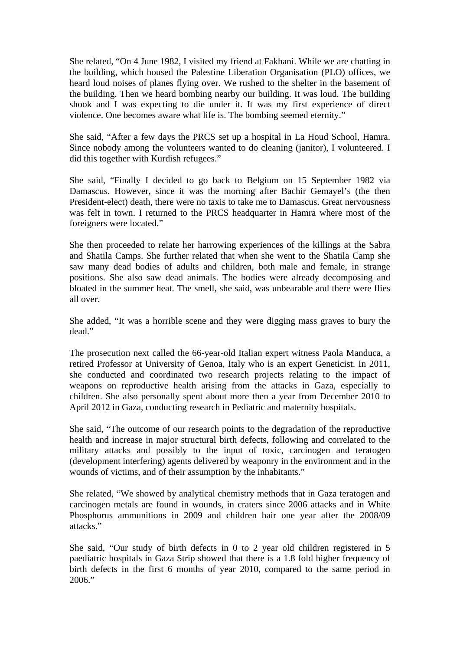She related, "On 4 June 1982, I visited my friend at Fakhani. While we are chatting in the building, which housed the Palestine Liberation Organisation (PLO) offices, we heard loud noises of planes flying over. We rushed to the shelter in the basement of the building. Then we heard bombing nearby our building. It was loud. The building shook and I was expecting to die under it. It was my first experience of direct violence. One becomes aware what life is. The bombing seemed eternity."

She said, "After a few days the PRCS set up a hospital in La Houd School, Hamra. Since nobody among the volunteers wanted to do cleaning (janitor), I volunteered. I did this together with Kurdish refugees."

She said, "Finally I decided to go back to Belgium on 15 September 1982 via Damascus. However, since it was the morning after Bachir Gemayel's (the then President-elect) death, there were no taxis to take me to Damascus. Great nervousness was felt in town. I returned to the PRCS headquarter in Hamra where most of the foreigners were located."

She then proceeded to relate her harrowing experiences of the killings at the Sabra and Shatila Camps. She further related that when she went to the Shatila Camp she saw many dead bodies of adults and children, both male and female, in strange positions. She also saw dead animals. The bodies were already decomposing and bloated in the summer heat. The smell, she said, was unbearable and there were flies all over.

She added, "It was a horrible scene and they were digging mass graves to bury the dead."

The prosecution next called the 66-year-old Italian expert witness Paola Manduca, a retired Professor at University of Genoa, Italy who is an expert Geneticist. In 2011, she conducted and coordinated two research projects relating to the impact of weapons on reproductive health arising from the attacks in Gaza, especially to children. She also personally spent about more then a year from December 2010 to April 2012 in Gaza, conducting research in Pediatric and maternity hospitals.

She said, "The outcome of our research points to the degradation of the reproductive health and increase in major structural birth defects, following and correlated to the military attacks and possibly to the input of toxic, carcinogen and teratogen (development interfering) agents delivered by weaponry in the environment and in the wounds of victims, and of their assumption by the inhabitants."

She related, "We showed by analytical chemistry methods that in Gaza teratogen and carcinogen metals are found in wounds, in craters since 2006 attacks and in White Phosphorus ammunitions in 2009 and children hair one year after the 2008/09 attacks."

She said, "Our study of birth defects in 0 to 2 year old children registered in 5 paediatric hospitals in Gaza Strip showed that there is a 1.8 fold higher frequency of birth defects in the first 6 months of year 2010, compared to the same period in 2006."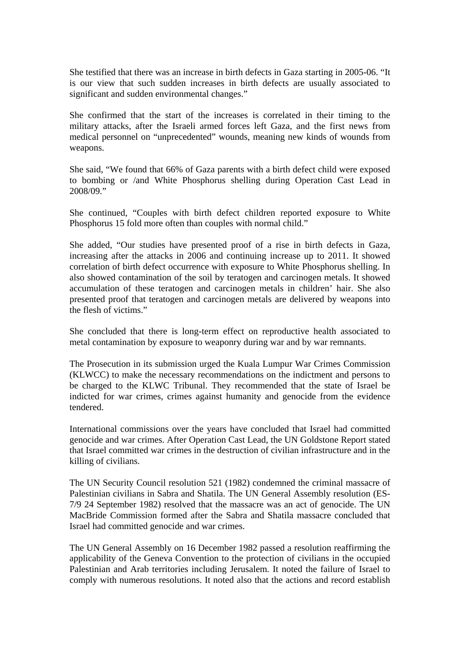She testified that there was an increase in birth defects in Gaza starting in 2005-06. "It is our view that such sudden increases in birth defects are usually associated to significant and sudden environmental changes."

She confirmed that the start of the increases is correlated in their timing to the military attacks, after the Israeli armed forces left Gaza, and the first news from medical personnel on "unprecedented" wounds, meaning new kinds of wounds from weapons.

She said, "We found that 66% of Gaza parents with a birth defect child were exposed to bombing or /and White Phosphorus shelling during Operation Cast Lead in 2008/09."

She continued, "Couples with birth defect children reported exposure to White Phosphorus 15 fold more often than couples with normal child."

She added, "Our studies have presented proof of a rise in birth defects in Gaza, increasing after the attacks in 2006 and continuing increase up to 2011. It showed correlation of birth defect occurrence with exposure to White Phosphorus shelling. In also showed contamination of the soil by teratogen and carcinogen metals. It showed accumulation of these teratogen and carcinogen metals in children' hair. She also presented proof that teratogen and carcinogen metals are delivered by weapons into the flesh of victims."

She concluded that there is long-term effect on reproductive health associated to metal contamination by exposure to weaponry during war and by war remnants.

The Prosecution in its submission urged the Kuala Lumpur War Crimes Commission (KLWCC) to make the necessary recommendations on the indictment and persons to be charged to the KLWC Tribunal. They recommended that the state of Israel be indicted for war crimes, crimes against humanity and genocide from the evidence tendered.

International commissions over the years have concluded that Israel had committed genocide and war crimes. After Operation Cast Lead, the UN Goldstone Report stated that Israel committed war crimes in the destruction of civilian infrastructure and in the killing of civilians.

The UN Security Council resolution 521 (1982) condemned the criminal massacre of Palestinian civilians in Sabra and Shatila. The UN General Assembly resolution (ES-7/9 24 September 1982) resolved that the massacre was an act of genocide. The UN MacBride Commission formed after the Sabra and Shatila massacre concluded that Israel had committed genocide and war crimes.

The UN General Assembly on 16 December 1982 passed a resolution reaffirming the applicability of the Geneva Convention to the protection of civilians in the occupied Palestinian and Arab territories including Jerusalem. It noted the failure of Israel to comply with numerous resolutions. It noted also that the actions and record establish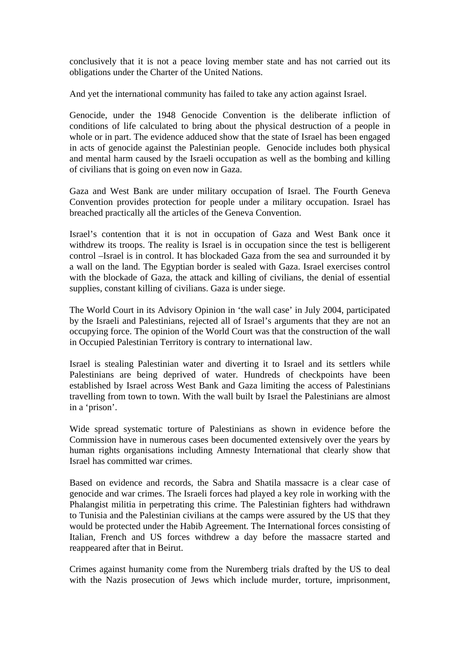conclusively that it is not a peace loving member state and has not carried out its obligations under the Charter of the United Nations.

And yet the international community has failed to take any action against Israel.

Genocide, under the 1948 Genocide Convention is the deliberate infliction of conditions of life calculated to bring about the physical destruction of a people in whole or in part. The evidence adduced show that the state of Israel has been engaged in acts of genocide against the Palestinian people. Genocide includes both physical and mental harm caused by the Israeli occupation as well as the bombing and killing of civilians that is going on even now in Gaza.

Gaza and West Bank are under military occupation of Israel. The Fourth Geneva Convention provides protection for people under a military occupation. Israel has breached practically all the articles of the Geneva Convention.

Israel's contention that it is not in occupation of Gaza and West Bank once it withdrew its troops. The reality is Israel is in occupation since the test is belligerent control –Israel is in control. It has blockaded Gaza from the sea and surrounded it by a wall on the land. The Egyptian border is sealed with Gaza. Israel exercises control with the blockade of Gaza, the attack and killing of civilians, the denial of essential supplies, constant killing of civilians. Gaza is under siege.

The World Court in its Advisory Opinion in 'the wall case' in July 2004, participated by the Israeli and Palestinians, rejected all of Israel's arguments that they are not an occupying force. The opinion of the World Court was that the construction of the wall in Occupied Palestinian Territory is contrary to international law.

Israel is stealing Palestinian water and diverting it to Israel and its settlers while Palestinians are being deprived of water. Hundreds of checkpoints have been established by Israel across West Bank and Gaza limiting the access of Palestinians travelling from town to town. With the wall built by Israel the Palestinians are almost in a 'prison'.

Wide spread systematic torture of Palestinians as shown in evidence before the Commission have in numerous cases been documented extensively over the years by human rights organisations including Amnesty International that clearly show that Israel has committed war crimes.

Based on evidence and records, the Sabra and Shatila massacre is a clear case of genocide and war crimes. The Israeli forces had played a key role in working with the Phalangist militia in perpetrating this crime. The Palestinian fighters had withdrawn to Tunisia and the Palestinian civilians at the camps were assured by the US that they would be protected under the Habib Agreement. The International forces consisting of Italian, French and US forces withdrew a day before the massacre started and reappeared after that in Beirut.

Crimes against humanity come from the Nuremberg trials drafted by the US to deal with the Nazis prosecution of Jews which include murder, torture, imprisonment,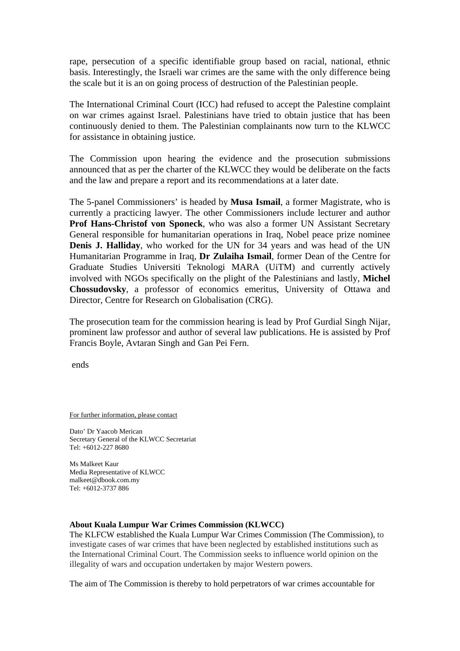rape, persecution of a specific identifiable group based on racial, national, ethnic basis. Interestingly, the Israeli war crimes are the same with the only difference being the scale but it is an on going process of destruction of the Palestinian people.

The International Criminal Court (ICC) had refused to accept the Palestine complaint on war crimes against Israel. Palestinians have tried to obtain justice that has been continuously denied to them. The Palestinian complainants now turn to the KLWCC for assistance in obtaining justice.

The Commission upon hearing the evidence and the prosecution submissions announced that as per the charter of the KLWCC they would be deliberate on the facts and the law and prepare a report and its recommendations at a later date.

The 5-panel Commissioners' is headed by **Musa Ismail**, a former Magistrate, who is currently a practicing lawyer. The other Commissioners include lecturer and author **Prof Hans-Christof von Sponeck**, who was also a former UN Assistant Secretary General responsible for humanitarian operations in Iraq, Nobel peace prize nominee **Denis J. Halliday**, who worked for the UN for 34 years and was head of the UN Humanitarian Programme in Iraq, **Dr Zulaiha Ismail**, former Dean of the Centre for Graduate Studies Universiti Teknologi MARA (UiTM) and currently actively involved with NGOs specifically on the plight of the Palestinians and lastly, **Michel Chossudovsky**, a professor of economics emeritus, University of Ottawa and Director, Centre for Research on Globalisation (CRG).

The prosecution team for the commission hearing is lead by Prof Gurdial Singh Nijar, prominent law professor and author of several law publications. He is assisted by Prof Francis Boyle, Avtaran Singh and Gan Pei Fern.

ends

For further information, please contact

Dato' Dr Yaacob Merican Secretary General of the KLWCC Secretariat Tel: +6012-227 8680

Ms Malkeet Kaur Media Representative of KLWCC malkeet@dbook.com.my Tel: +6012-3737 886

#### **About Kuala Lumpur War Crimes Commission (KLWCC)**

The KLFCW established the Kuala Lumpur War Crimes Commission (The Commission), to investigate cases of war crimes that have been neglected by established institutions such as the International Criminal Court. The Commission seeks to influence world opinion on the illegality of wars and occupation undertaken by major Western powers.

The aim of The Commission is thereby to hold perpetrators of war crimes accountable for